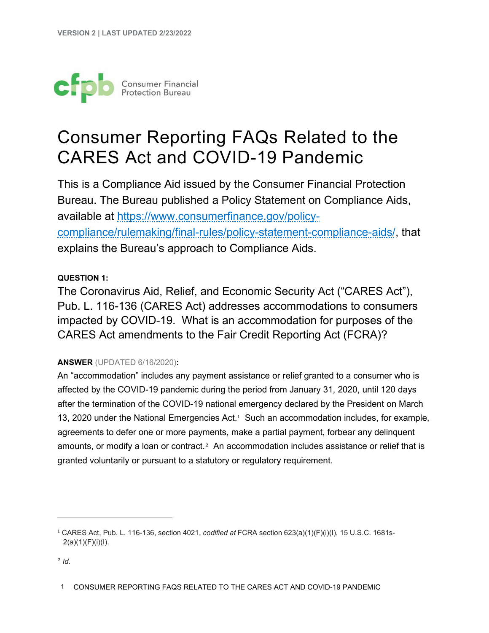

# Consumer Reporting FAQs Related to the CARES Act and COVID-19 Pandemic

This is a Compliance Aid issued by the Consumer Financial Protection Bureau. The Bureau published a Policy Statement on Compliance Aids, available at [https://www.consumerfinance.gov/policy](https://www.consumerfinance.gov/policy-compliance/rulemaking/final-rules/policy-statement-compliance-aids/)[compliance/rulemaking/final-rules/policy-statement-compliance-aids/,](https://www.consumerfinance.gov/policy-compliance/rulemaking/final-rules/policy-statement-compliance-aids/) that explains the Bureau's approach to Compliance Aids.

## **QUESTION 1:**

The Coronavirus Aid, Relief, and Economic Security Act ("CARES Act"), Pub. L. 116-136 (CARES Act) addresses accommodations to consumers impacted by COVID-19. What is an accommodation for purposes of the CARES Act amendments to the Fair Credit Reporting Act (FCRA)?

## **ANSWER** (UPDATED 6/16/2020)**:**

An "accommodation" includes any payment assistance or relief granted to a consumer who is affected by the COVID-19 pandemic during the period from January 31, 2020, until 120 days after the termination of the COVID-19 national emergency declared by the President on March [1](#page-0-0)3, 2020 under the National Emergencies Act.<sup>1</sup> Such an accommodation includes, for example, agreements to defer one or more payments, make a partial payment, forbear any delinquent amounts, or modify a loan or contract.<sup>[2](#page-0-1)</sup> An accommodation includes assistance or relief that is granted voluntarily or pursuant to a statutory or regulatory requirement.

<span id="page-0-0"></span><sup>1</sup> CARES Act, Pub. L. 116-136, section 4021, *codified at* FCRA section 623(a)(1)(F)(i)(I), 15 U.S.C. 1681s- $2(a)(1)(F)(i)(l)$ .

<span id="page-0-1"></span><sup>2</sup> *Id.*

 <sup>1</sup> CONSUMER REPORTING FAQS RELATED TO THE CARES ACT AND COVID-19 PANDEMIC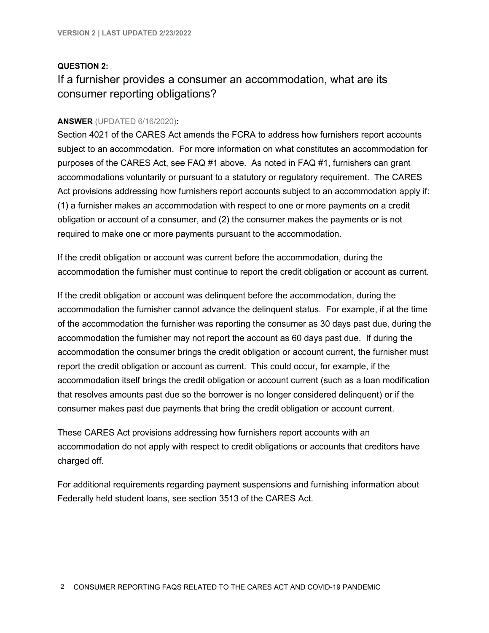#### **QUESTION 2:**

If a furnisher provides a consumer an accommodation, what are its consumer reporting obligations?

#### **ANSWER** (UPDATED 6/16/2020)**:**

Section 4021 of the CARES Act amends the FCRA to address how furnishers report accounts subject to an accommodation. For more information on what constitutes an accommodation for purposes of the CARES Act, see FAQ #1 above. As noted in FAQ #1, furnishers can grant accommodations voluntarily or pursuant to a statutory or regulatory requirement. The CARES Act provisions addressing how furnishers report accounts subject to an accommodation apply if: (1) a furnisher makes an accommodation with respect to one or more payments on a credit obligation or account of a consumer, and (2) the consumer makes the payments or is not required to make one or more payments pursuant to the accommodation.

If the credit obligation or account was current before the accommodation, during the accommodation the furnisher must continue to report the credit obligation or account as current.

If the credit obligation or account was delinquent before the accommodation, during the accommodation the furnisher cannot advance the delinquent status. For example, if at the time of the accommodation the furnisher was reporting the consumer as 30 days past due, during the accommodation the furnisher may not report the account as 60 days past due. If during the accommodation the consumer brings the credit obligation or account current, the furnisher must report the credit obligation or account as current. This could occur, for example, if the accommodation itself brings the credit obligation or account current (such as a loan modification that resolves amounts past due so the borrower is no longer considered delinquent) or if the consumer makes past due payments that bring the credit obligation or account current.

These CARES Act provisions addressing how furnishers report accounts with an accommodation do not apply with respect to credit obligations or accounts that creditors have charged off.

For additional requirements regarding payment suspensions and furnishing information about Federally held student loans, see section 3513 of the CARES Act.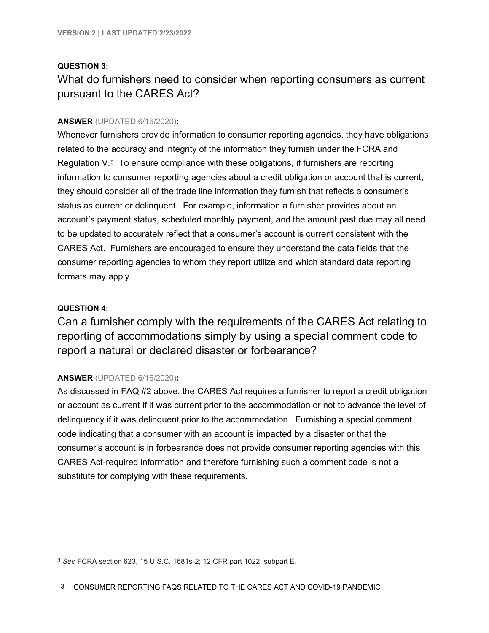## **QUESTION 3:**

# What do furnishers need to consider when reporting consumers as current pursuant to the CARES Act?

#### **ANSWER** (UPDATED 6/16/2020)**:**

Whenever furnishers provide information to consumer reporting agencies, they have obligations related to the accuracy and integrity of the information they furnish under the FCRA and Regulation V.[3](#page-2-0) To ensure compliance with these obligations, if furnishers are reporting information to consumer reporting agencies about a credit obligation or account that is current, they should consider all of the trade line information they furnish that reflects a consumer's status as current or delinquent. For example, information a furnisher provides about an account's payment status, scheduled monthly payment, and the amount past due may all need to be updated to accurately reflect that a consumer's account is current consistent with the CARES Act. Furnishers are encouraged to ensure they understand the data fields that the consumer reporting agencies to whom they report utilize and which standard data reporting formats may apply.

#### **QUESTION 4:**

Can a furnisher comply with the requirements of the CARES Act relating to reporting of accommodations simply by using a special comment code to report a natural or declared disaster or forbearance?

#### **ANSWER** (UPDATED 6/16/2020)**:**

As discussed in FAQ #2 above, the CARES Act requires a furnisher to report a credit obligation or account as current if it was current prior to the accommodation or not to advance the level of delinquency if it was delinquent prior to the accommodation. Furnishing a special comment code indicating that a consumer with an account is impacted by a disaster or that the consumer's account is in forbearance does not provide consumer reporting agencies with this CARES Act-required information and therefore furnishing such a comment code is not a substitute for complying with these requirements.

<span id="page-2-0"></span><sup>3</sup> *See* FCRA section 623, 15 U.S.C. 1681s-2; 12 CFR part 1022, subpart E.